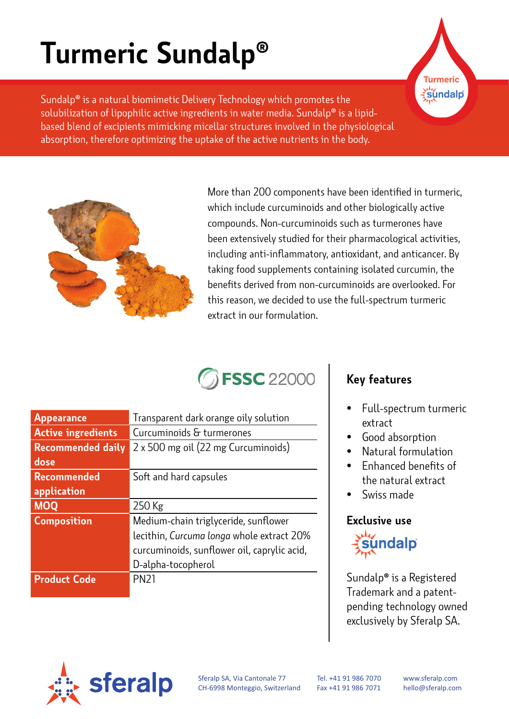# **Turmeric Sundalp®**

Sundalp® is a natural biomimetic Delivery Technology which promotes the solubilization of lipophilic active ingredients in water media. Sundalp® is a lipidbased blend of excipients mimicking micellar structures involved in the physiological absorption, therefore optimizing the uptake of the active nutrients in the body.



More than 200 components have been identified in turmeric, which include curcuminoids and other biologically active compounds. Non-curcuminoids such as turmerones have been extensively studied for their pharmacological activities, including anti-inflammatory, antioxidant, and anticancer. By taking food supplements containing isolated curcumin, the benefits derived from non-curcuminoids are overlooked. For this reason, we decided to use the full-spectrum turmeric extract in our formulation.

## **FSSC** 22000

| <b>Appearance</b>         | Transparent dark orange oily solution       |
|---------------------------|---------------------------------------------|
| <b>Active ingredients</b> | Curcuminoids & turmerones                   |
| <b>Recommended daily</b>  | 2 x 500 mg oil (22 mg Curcuminoids)         |
| dose                      |                                             |
| <b>Recommended</b>        | Soft and hard capsules                      |
| application               |                                             |
| <b>MOQ</b>                | 250 Kg                                      |
| <b>Composition</b>        | Medium-chain triglyceride, sunflower        |
|                           | lecithin, Curcuma longa whole extract 20%   |
|                           | curcuminoids, sunflower oil, caprylic acid, |
|                           | D-alpha-tocopherol                          |
| <b>Product Code</b>       | <b>PN21</b>                                 |
|                           |                                             |

#### **Key features**

• Full-spectrum turmeric extract

**Turmeric** sundalp

- Good absorption
- Natural formulation
- Enhanced benefits of the natural extract
- Swiss made

#### **Exclusive use**



Sundalp**®** is a Registered Trademark and a patentpending technology owned exclusively by Sferalp SA.